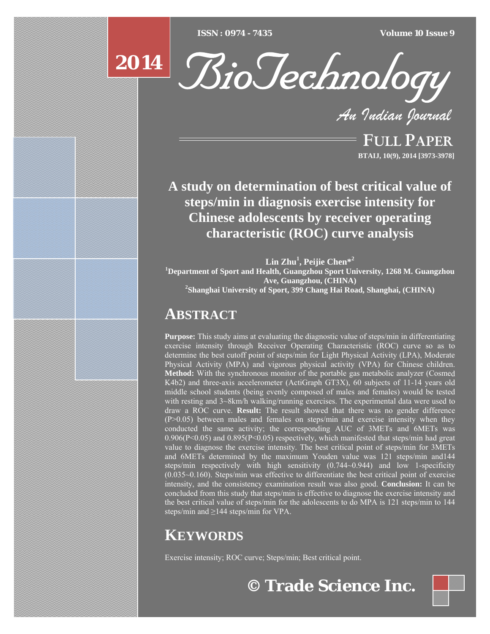[Type text] [Type text] [Type text] *ISSN : 0974 - 7435 Volume 10 Issue 9*

# **2014**



*An Indian Journal*

FULL PAPER **BTAIJ, 10(9), 2014 [3973-3978]**

**A study on determination of best critical value of steps/min in diagnosis exercise intensity for Chinese adolescents by receiver operating characteristic (ROC) curve analysis** 

**Lin Zhu<sup>1</sup> , Peijie Chen\*<sup>2</sup> 1 Department of Sport and Health, Guangzhou Sport University, 1268 M. Guangzhou Ave, Guangzhou, (CHINA) <sup>2</sup> Shanghai University of Sport, 399 Chang Hai Road, Shanghai, (CHINA)**

# **ABSTRACT**

**Purpose:** This study aims at evaluating the diagnostic value of steps/min in differentiating exercise intensity through Receiver Operating Characteristic (ROC) curve so as to determine the best cutoff point of steps/min for Light Physical Activity (LPA), Moderate Physical Activity (MPA) and vigorous physical activity (VPA) for Chinese children. **Method:** With the synchronous monitor of the portable gas metabolic analyzer (Cosmed K4b2) and three-axis accelerometer (ActiGraph GT3X), 60 subjects of 11-14 years old middle school students (being evenly composed of males and females) would be tested with resting and 3~8km/h walking/running exercises. The experimental data were used to draw a ROC curve. **Result:** The result showed that there was no gender difference (P>0.05) between males and females on steps/min and exercise intensity when they conducted the same activity; the corresponding AUC of 3METs and 6METs was  $0.906(P<0.05)$  and  $0.895(P<0.05)$  respectively, which manifested that steps/min had great value to diagnose the exercise intensity. The best critical point of steps/min for 3METs and 6METs determined by the maximum Youden value was 121 steps/min and144 steps/min respectively with high sensitivity (0.744~0.944) and low 1-specificity (0.035~0.160). Steps/min was effective to differentiate the best critical point of exercise intensity, and the consistency examination result was also good. **Conclusion:** It can be concluded from this study that steps/min is effective to diagnose the exercise intensity and the best critical value of steps/min for the adolescents to do MPA is 121 steps/min to 144 steps/min and  $\geq$ 144 steps/min for VPA.

# **KEYWORDS**

Exercise intensity; ROC curve; Steps/min; Best critical point.

**© Trade Science Inc.**

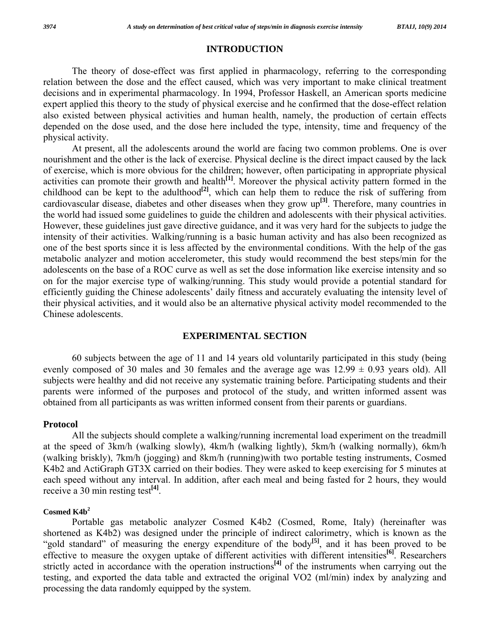#### **INTRODUCTION**

 The theory of dose-effect was first applied in pharmacology, referring to the corresponding relation between the dose and the effect caused, which was very important to make clinical treatment decisions and in experimental pharmacology. In 1994, Professor Haskell, an American sports medicine expert applied this theory to the study of physical exercise and he confirmed that the dose-effect relation also existed between physical activities and human health, namely, the production of certain effects depended on the dose used, and the dose here included the type, intensity, time and frequency of the physical activity.

 At present, all the adolescents around the world are facing two common problems. One is over nourishment and the other is the lack of exercise. Physical decline is the direct impact caused by the lack of exercise, which is more obvious for the children; however, often participating in appropriate physical activities can promote their growth and health**[1]**. Moreover the physical activity pattern formed in the childhood can be kept to the adulthood<sup>[2]</sup>, which can help them to reduce the risk of suffering from cardiovascular disease, diabetes and other diseases when they grow up**[3]**. Therefore, many countries in the world had issued some guidelines to guide the children and adolescents with their physical activities. However, these guidelines just gave directive guidance, and it was very hard for the subjects to judge the intensity of their activities. Walking/running is a basic human activity and has also been recognized as one of the best sports since it is less affected by the environmental conditions. With the help of the gas metabolic analyzer and motion accelerometer, this study would recommend the best steps/min for the adolescents on the base of a ROC curve as well as set the dose information like exercise intensity and so on for the major exercise type of walking/running. This study would provide a potential standard for efficiently guiding the Chinese adolescents' daily fitness and accurately evaluating the intensity level of their physical activities, and it would also be an alternative physical activity model recommended to the Chinese adolescents.

#### **EXPERIMENTAL SECTION**

 60 subjects between the age of 11 and 14 years old voluntarily participated in this study (being evenly composed of 30 males and 30 females and the average age was  $12.99 \pm 0.93$  years old). All subjects were healthy and did not receive any systematic training before. Participating students and their parents were informed of the purposes and protocol of the study, and written informed assent was obtained from all participants as was written informed consent from their parents or guardians.

#### **Protocol**

 All the subjects should complete a walking/running incremental load experiment on the treadmill at the speed of 3km/h (walking slowly), 4km/h (walking lightly), 5km/h (walking normally), 6km/h (walking briskly), 7km/h (jogging) and 8km/h (running)with two portable testing instruments, Cosmed K4b2 and ActiGraph GT3X carried on their bodies. They were asked to keep exercising for 5 minutes at each speed without any interval. In addition, after each meal and being fasted for 2 hours, they would receive a 30 min resting test**[4]**.

#### **Cosmed K4b<sup>2</sup>**

 Portable gas metabolic analyzer Cosmed K4b2 (Cosmed, Rome, Italy) (hereinafter was shortened as K4b2) was designed under the principle of indirect calorimetry, which is known as the "gold standard" of measuring the energy expenditure of the body<sup>[5]</sup>, and it has been proved to be effective to measure the oxygen uptake of different activities with different intensities**[6]**. Researchers strictly acted in accordance with the operation instructions<sup>[4]</sup> of the instruments when carrying out the testing, and exported the data table and extracted the original VO2 (ml/min) index by analyzing and processing the data randomly equipped by the system.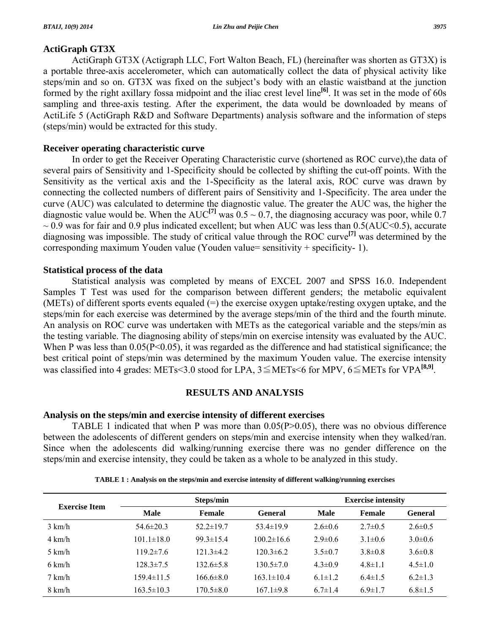# **ActiGraph GT3X**

 ActiGraph GT3X (Actigraph LLC, Fort Walton Beach, FL) (hereinafter was shorten as GT3X) is a portable three-axis accelerometer, which can automatically collect the data of physical activity like steps/min and so on. GT3X was fixed on the subject's body with an elastic waistband at the junction formed by the right axillary fossa midpoint and the iliac crest level line<sup>[6]</sup>. It was set in the mode of 60s sampling and three-axis testing. After the experiment, the data would be downloaded by means of ActiLife 5 (ActiGraph R&D and Software Departments) analysis software and the information of steps (steps/min) would be extracted for this study.

# **Receiver operating characteristic curve**

 In order to get the Receiver Operating Characteristic curve (shortened as ROC curve),the data of several pairs of Sensitivity and 1-Specificity should be collected by shifting the cut-off points. With the Sensitivity as the vertical axis and the 1-Specificity as the lateral axis, ROC curve was drawn by connecting the collected numbers of different pairs of Sensitivity and 1-Specificity. The area under the curve (AUC) was calculated to determine the diagnostic value. The greater the AUC was, the higher the diagnostic value would be. When the  $AUC^{[7]}$  was  $0.5 \sim 0.7$ , the diagnosing accuracy was poor, while 0.7  $\sim$  0.9 was for fair and 0.9 plus indicated excellent; but when AUC was less than 0.5(AUC<0.5), accurate diagnosing was impossible. The study of critical value through the ROC curve**[7]** was determined by the corresponding maximum Youden value (Youden value= sensitivity + specificity- 1).

# **Statistical process of the data**

 Statistical analysis was completed by means of EXCEL 2007 and SPSS 16.0. Independent Samples T Test was used for the comparison between different genders; the metabolic equivalent (METs) of different sports events equaled  $(=)$  the exercise oxygen uptake/resting oxygen uptake, and the steps/min for each exercise was determined by the average steps/min of the third and the fourth minute. An analysis on ROC curve was undertaken with METs as the categorical variable and the steps/min as the testing variable. The diagnosing ability of steps/min on exercise intensity was evaluated by the AUC. When P was less than  $0.05(P<0.05)$ , it was regarded as the difference and had statistical significance; the best critical point of steps/min was determined by the maximum Youden value. The exercise intensity was classified into 4 grades: METs<3.0 stood for LPA, 3≦METs<6 for MPV, 6≦METs for VPA**[8,9]**.

# **RESULTS AND ANALYSIS**

# **Analysis on the steps/min and exercise intensity of different exercises**

 TABLE 1 indicated that when P was more than 0.05(P>0.05), there was no obvious difference between the adolescents of different genders on steps/min and exercise intensity when they walked/ran. Since when the adolescents did walking/running exercise there was no gender difference on the steps/min and exercise intensity, they could be taken as a whole to be analyzed in this study.

| <b>Exercise Item</b> |                  | Steps/min       |                  |               | <b>Exercise intensity</b> |                |  |  |
|----------------------|------------------|-----------------|------------------|---------------|---------------------------|----------------|--|--|
|                      | <b>Male</b>      | Female          | <b>General</b>   | <b>Male</b>   | <b>Female</b>             | <b>General</b> |  |  |
| $3 \text{ km/h}$     | $54.6 \pm 20.3$  | $52.2 \pm 19.7$ | $53.4 \pm 19.9$  | $2.6 \pm 0.6$ | $2.7\pm 0.5$              | $2.6 \pm 0.5$  |  |  |
| $4 \text{ km/h}$     | $101.1 \pm 18.0$ | $99.3 \pm 15.4$ | $100.2 \pm 16.6$ | $2.9 \pm 0.6$ | $3.1 \pm 0.6$             | $3.0\pm0.6$    |  |  |
| $5 \text{ km/h}$     | $119.2 \pm 7.6$  | $121.3 \pm 4.2$ | $120.3 \pm 6.2$  | $3.5 \pm 0.7$ | $3.8 \pm 0.8$             | $3.6 \pm 0.8$  |  |  |
| $6 \text{ km/h}$     | $128.3 \pm 7.5$  | $132.6 \pm 5.8$ | $130.5 \pm 7.0$  | $4.3 \pm 0.9$ | $4.8 \pm 1.1$             | $4.5 \pm 1.0$  |  |  |
| $7 \text{ km/h}$     | $159.4 \pm 11.5$ | $166.6 \pm 8.0$ | $163.1 \pm 10.4$ | $6.1 \pm 1.2$ | $6.4 \pm 1.5$             | $6.2 \pm 1.3$  |  |  |
| $8 \text{ km/h}$     | $163.5 \pm 10.3$ | $170.5 \pm 8.0$ | $167.1\pm9.8$    | $6.7 \pm 1.4$ | $6.9 \pm 1.7$             | $6.8 \pm 1.5$  |  |  |

**TABLE 1 : Analysis on the steps/min and exercise intensity of different walking/running exercises**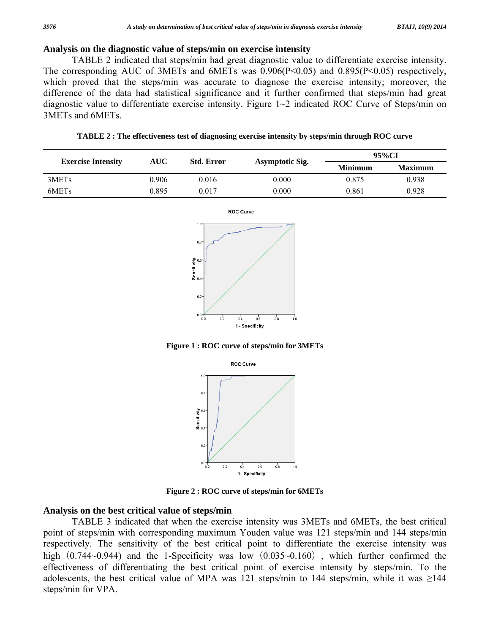## **Analysis on the diagnostic value of steps/min on exercise intensity**

 TABLE 2 indicated that steps/min had great diagnostic value to differentiate exercise intensity. The corresponding AUC of 3METs and 6METs was 0.906(P<0.05) and 0.895(P<0.05) respectively, which proved that the steps/min was accurate to diagnose the exercise intensity; moreover, the difference of the data had statistical significance and it further confirmed that steps/min had great diagnostic value to differentiate exercise intensity. Figure 1~2 indicated ROC Curve of Steps/min on 3METs and 6METs.

| TABLE 2 : The effectiveness test of diagnosing exercise intensity by steps/min through ROC curve |  |  |  |
|--------------------------------------------------------------------------------------------------|--|--|--|
|--------------------------------------------------------------------------------------------------|--|--|--|

|                           |       |                   |                 |                | 95%CI          |
|---------------------------|-------|-------------------|-----------------|----------------|----------------|
| <b>Exercise Intensity</b> | AUC   | <b>Std. Error</b> | Asymptotic Sig. | <b>Minimum</b> | <b>Maximum</b> |
| 3MET <sub>s</sub>         | 0.906 | 0.016             | 0.000           | 0.875          | 0.938          |
| 6MET <sub>s</sub>         | 0.895 | 0.017             | 0.000           | 0.861          | 0.928          |



**Figure 1 : ROC curve of steps/min for 3METs** 



**Figure 2 : ROC curve of steps/min for 6METs** 

# **Analysis on the best critical value of steps/min**

 TABLE 3 indicated that when the exercise intensity was 3METs and 6METs, the best critical point of steps/min with corresponding maximum Youden value was 121 steps/min and 144 steps/min respectively. The sensitivity of the best critical point to differentiate the exercise intensity was high  $(0.744~0.944)$  and the 1-Specificity was low  $(0.035~0.160)$ , which further confirmed the effectiveness of differentiating the best critical point of exercise intensity by steps/min. To the adolescents, the best critical value of MPA was 121 steps/min to 144 steps/min, while it was ≥144 steps/min for VPA.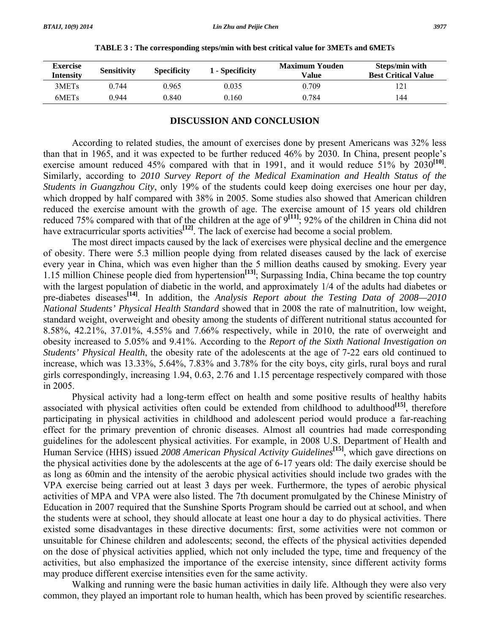| <b>Exercise</b><br><b>Intensity</b> | <b>Sensitivity</b> | <b>Specificity</b> | 1 - Specificity | <b>Maximum Youden</b><br>Value | Steps/min with<br><b>Best Critical Value</b> |
|-------------------------------------|--------------------|--------------------|-----------------|--------------------------------|----------------------------------------------|
| 3MET <sub>s</sub>                   | በ 744              | 0.965              | 0.035           | 0.709                          |                                              |
| 6MET <sub>s</sub>                   | 0.944              | 0.840              | 0.160           | 0.784                          | 144                                          |

| TABLE 3 : The corresponding steps/min with best critical value for 3METs and 6METs |  |  |  |  |  |  |
|------------------------------------------------------------------------------------|--|--|--|--|--|--|
|------------------------------------------------------------------------------------|--|--|--|--|--|--|

#### **DISCUSSION AND CONCLUSION**

 According to related studies, the amount of exercises done by present Americans was 32% less than that in 1965, and it was expected to be further reduced 46% by 2030. In China, present people's exercise amount reduced 45% compared with that in 1991, and it would reduce 51% by 2030<sup>[10]</sup>. Similarly, according to *2010 Survey Report of the Medical Examination and Health Status of the Students in Guangzhou City*, only 19% of the students could keep doing exercises one hour per day, which dropped by half compared with 38% in 2005. Some studies also showed that American children reduced the exercise amount with the growth of age. The exercise amount of 15 years old children reduced 75% compared with that of the children at the age of 9<sup>[11]</sup>; 92% of the children in China did not have extracurricular sports activities<sup>[12]</sup>. The lack of exercise had become a social problem.

 The most direct impacts caused by the lack of exercises were physical decline and the emergence of obesity. There were 5.3 million people dying from related diseases caused by the lack of exercise every year in China, which was even higher than the 5 million deaths caused by smoking. Every year 1.15 million Chinese people died from hypertension<sup>[13]</sup>; Surpassing India, China became the top country with the largest population of diabetic in the world, and approximately 1/4 of the adults had diabetes or pre-diabetes diseases<sup>[14]</sup>. In addition, the *Analysis Report about the Testing Data of 2008—2010 National Students' Physical Health Standard* showed that in 2008 the rate of malnutrition, low weight, standard weight, overweight and obesity among the students of different nutritional status accounted for 8.58%, 42.21%, 37.01%, 4.55% and 7.66% respectively, while in 2010, the rate of overweight and obesity increased to 5.05% and 9.41%. According to the *Report of the Sixth National Investigation on Students' Physical Health*, the obesity rate of the adolescents at the age of 7-22 ears old continued to increase, which was 13.33%, 5.64%, 7.83% and 3.78% for the city boys, city girls, rural boys and rural girls correspondingly, increasing 1.94, 0.63, 2.76 and 1.15 percentage respectively compared with those in 2005.

 Physical activity had a long-term effect on health and some positive results of healthy habits associated with physical activities often could be extended from childhood to adulthood<sup>[15]</sup>, therefore participating in physical activities in childhood and adolescent period would produce a far-reaching effect for the primary prevention of chronic diseases. Almost all countries had made corresponding guidelines for the adolescent physical activities. For example, in 2008 U.S. Department of Health and Human Service (HHS) issued *2008 American Physical Activity Guidelines***[15]**, which gave directions on the physical activities done by the adolescents at the age of 6-17 years old: The daily exercise should be as long as 60min and the intensity of the aerobic physical activities should include two grades with the VPA exercise being carried out at least 3 days per week. Furthermore, the types of aerobic physical activities of MPA and VPA were also listed. The 7th document promulgated by the Chinese Ministry of Education in 2007 required that the Sunshine Sports Program should be carried out at school, and when the students were at school, they should allocate at least one hour a day to do physical activities. There existed some disadvantages in these directive documents: first, some activities were not common or unsuitable for Chinese children and adolescents; second, the effects of the physical activities depended on the dose of physical activities applied, which not only included the type, time and frequency of the activities, but also emphasized the importance of the exercise intensity, since different activity forms may produce different exercise intensities even for the same activity.

 Walking and running were the basic human activities in daily life. Although they were also very common, they played an important role to human health, which has been proved by scientific researches.